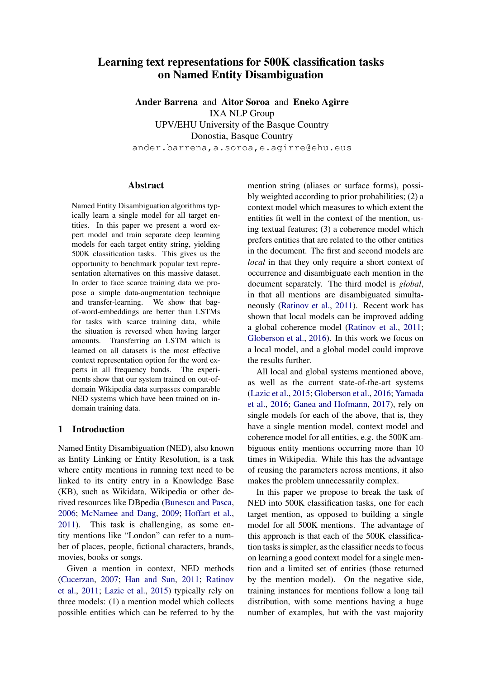# Learning text representations for 500K classification tasks on Named Entity Disambiguation

Ander Barrena and Aitor Soroa and Eneko Agirre IXA NLP Group UPV/EHU University of the Basque Country Donostia, Basque Country ander.barrena,a.soroa,e.agirre@ehu.eus

# Abstract

Named Entity Disambiguation algorithms typically learn a single model for all target entities. In this paper we present a word expert model and train separate deep learning models for each target entity string, yielding 500K classification tasks. This gives us the opportunity to benchmark popular text representation alternatives on this massive dataset. In order to face scarce training data we propose a simple data-augmentation technique and transfer-learning. We show that bagof-word-embeddings are better than LSTMs for tasks with scarce training data, while the situation is reversed when having larger amounts. Transferring an LSTM which is learned on all datasets is the most effective context representation option for the word experts in all frequency bands. The experiments show that our system trained on out-ofdomain Wikipedia data surpasses comparable NED systems which have been trained on indomain training data.

## 1 Introduction

Named Entity Disambiguation (NED), also known as Entity Linking or Entity Resolution, is a task where entity mentions in running text need to be linked to its entity entry in a Knowledge Base (KB), such as Wikidata, Wikipedia or other derived resources like DBpedia [\(Bunescu and Pasca,](#page-8-0) [2006;](#page-8-0) [McNamee and Dang,](#page-9-0) [2009;](#page-9-0) [Hoffart et al.,](#page-8-1) [2011\)](#page-8-1). This task is challenging, as some entity mentions like "London" can refer to a number of places, people, fictional characters, brands, movies, books or songs.

Given a mention in context, NED methods [\(Cucerzan,](#page-8-2) [2007;](#page-8-2) [Han and Sun,](#page-8-3) [2011;](#page-8-3) [Ratinov](#page-9-1) [et al.,](#page-9-1) [2011;](#page-9-1) [Lazic et al.,](#page-8-4) [2015\)](#page-8-4) typically rely on three models: (1) a mention model which collects possible entities which can be referred to by the mention string (aliases or surface forms), possibly weighted according to prior probabilities; (2) a context model which measures to which extent the entities fit well in the context of the mention, using textual features; (3) a coherence model which prefers entities that are related to the other entities in the document. The first and second models are *local* in that they only require a short context of occurrence and disambiguate each mention in the document separately. The third model is *global*, in that all mentions are disambiguated simultaneously [\(Ratinov et al.,](#page-9-1) [2011\)](#page-9-1). Recent work has shown that local models can be improved adding a global coherence model [\(Ratinov et al.,](#page-9-1) [2011;](#page-9-1) [Globerson et al.,](#page-8-5) [2016\)](#page-8-5). In this work we focus on a local model, and a global model could improve the results further.

All local and global systems mentioned above, as well as the current state-of-the-art systems [\(Lazic et al.,](#page-8-4) [2015;](#page-8-4) [Globerson et al.,](#page-8-5) [2016;](#page-8-5) [Yamada](#page-9-2) [et al.,](#page-9-2) [2016;](#page-9-2) [Ganea and Hofmann,](#page-8-6) [2017\)](#page-8-6), rely on single models for each of the above, that is, they have a single mention model, context model and coherence model for all entities, e.g. the 500K ambiguous entity mentions occurring more than 10 times in Wikipedia. While this has the advantage of reusing the parameters across mentions, it also makes the problem unnecessarily complex.

In this paper we propose to break the task of NED into 500K classification tasks, one for each target mention, as opposed to building a single model for all 500K mentions. The advantage of this approach is that each of the 500K classification tasks is simpler, as the classifier needs to focus on learning a good context model for a single mention and a limited set of entities (those returned by the mention model). On the negative side, training instances for mentions follow a long tail distribution, with some mentions having a huge number of examples, but with the vast majority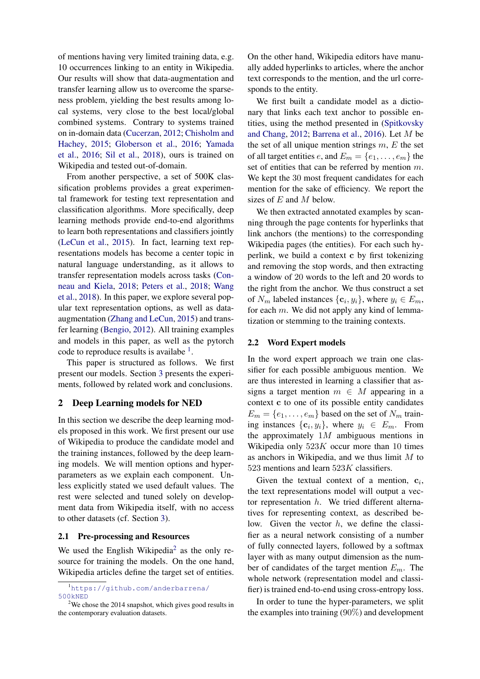of mentions having very limited training data, e.g. 10 occurrences linking to an entity in Wikipedia. Our results will show that data-augmentation and transfer learning allow us to overcome the sparseness problem, yielding the best results among local systems, very close to the best local/global combined systems. Contrary to systems trained on in-domain data [\(Cucerzan,](#page-8-7) [2012;](#page-8-7) [Chisholm and](#page-8-8) [Hachey,](#page-8-8) [2015;](#page-8-8) [Globerson et al.,](#page-8-5) [2016;](#page-8-5) [Yamada](#page-9-2) [et al.,](#page-9-2) [2016;](#page-9-2) [Sil et al.,](#page-9-3) [2018\)](#page-9-3), ours is trained on Wikipedia and tested out-of-domain.

From another perspective, a set of 500K classification problems provides a great experimental framework for testing text representation and classification algorithms. More specifically, deep learning methods provide end-to-end algorithms to learn both representations and classifiers jointly [\(LeCun et al.,](#page-9-4) [2015\)](#page-9-4). In fact, learning text representations models has become a center topic in natural language understanding, as it allows to transfer representation models across tasks [\(Con](#page-8-9)[neau and Kiela,](#page-8-9) [2018;](#page-8-9) [Peters et al.,](#page-9-5) [2018;](#page-9-5) [Wang](#page-9-6) [et al.,](#page-9-6) [2018\)](#page-9-6). In this paper, we explore several popular text representation options, as well as dataaugmentation [\(Zhang and LeCun,](#page-9-7) [2015\)](#page-9-7) and transfer learning [\(Bengio,](#page-8-10) [2012\)](#page-8-10). All training examples and models in this paper, as well as the pytorch code to reproduce results is availabe  $<sup>1</sup>$  $<sup>1</sup>$  $<sup>1</sup>$ .</sup>

This paper is structured as follows. We first present our models. Section [3](#page-3-0) presents the experiments, followed by related work and conclusions.

# <span id="page-1-3"></span>2 Deep Learning models for NED

In this section we describe the deep learning models proposed in this work. We first present our use of Wikipedia to produce the candidate model and the training instances, followed by the deep learning models. We will mention options and hyperparameters as we explain each component. Unless explicitly stated we used default values. The rest were selected and tuned solely on development data from Wikipedia itself, with no access to other datasets (cf. Section [3\)](#page-3-0).

#### 2.1 Pre-processing and Resources

We used the English Wikipedia<sup>[2](#page-1-1)</sup> as the only resource for training the models. On the one hand, Wikipedia articles define the target set of entities.

On the other hand, Wikipedia editors have manually added hyperlinks to articles, where the anchor text corresponds to the mention, and the url corresponds to the entity.

We first built a candidate model as a dictionary that links each text anchor to possible entities, using the method presented in [\(Spitkovsky](#page-9-8) [and Chang,](#page-9-8) [2012;](#page-9-8) [Barrena et al.,](#page-8-11) [2016\)](#page-8-11). Let M be the set of all unique mention strings  $m$ ,  $E$  the set of all target entities  $e$ , and  $E_m = \{e_1, \ldots, e_m\}$  the set of entities that can be referred by mention m. We kept the 30 most frequent candidates for each mention for the sake of efficiency. We report the sizes of  $E$  and  $M$  below.

We then extracted annotated examples by scanning through the page contents for hyperlinks that link anchors (the mentions) to the corresponding Wikipedia pages (the entities). For each such hyperlink, we build a context c by first tokenizing and removing the stop words, and then extracting a window of 20 words to the left and 20 words to the right from the anchor. We thus construct a set of  $N_m$  labeled instances  $\{c_i, y_i\}$ , where  $y_i \in E_m$ , for each m. We did not apply any kind of lemmatization or stemming to the training contexts.

#### <span id="page-1-2"></span>2.2 Word Expert models

In the word expert approach we train one classifier for each possible ambiguous mention. We are thus interested in learning a classifier that assigns a target mention  $m \in M$  appearing in a context c to one of its possible entity candidates  $E_m = \{e_1, \ldots, e_m\}$  based on the set of  $N_m$  training instances  $\{c_i, y_i\}$ , where  $y_i \in E_m$ . From the approximately  $1M$  ambiguous mentions in Wikipedia only  $523K$  occur more than 10 times as anchors in Wikipedia, and we thus limit  $M$  to 523 mentions and learn  $523K$  classifiers.

Given the textual context of a mention,  $c_i$ , the text representations model will output a vector representation  $h$ . We tried different alternatives for representing context, as described below. Given the vector  $h$ , we define the classifier as a neural network consisting of a number of fully connected layers, followed by a softmax layer with as many output dimension as the number of candidates of the target mention  $E_m$ . The whole network (representation model and classifier) is trained end-to-end using cross-entropy loss.

In order to tune the hyper-parameters, we split the examples into training (90%) and development

<span id="page-1-0"></span><sup>1</sup>[https://github.com/anderbarrena/](https://github.com/anderbarrena/500kNED) [500kNED](https://github.com/anderbarrena/500kNED)

<span id="page-1-1"></span> $2$ We chose the 2014 snapshot, which gives good results in the contemporary evaluation datasets.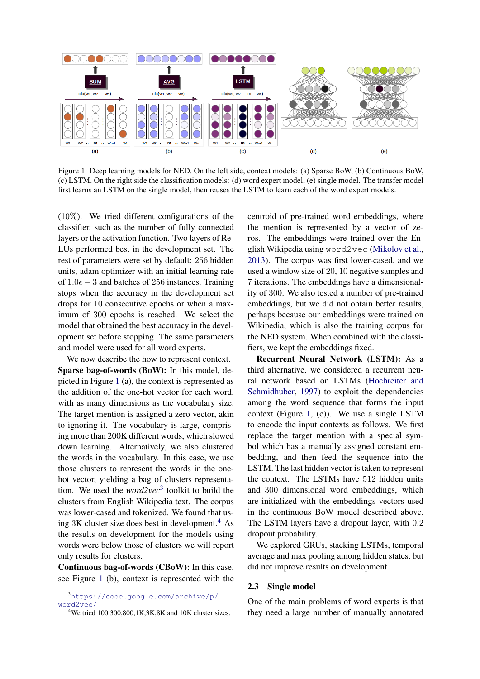

<span id="page-2-0"></span>Figure 1: Deep learning models for NED. On the left side, context models: (a) Sparse BoW, (b) Continuous BoW, (c) LSTM. On the right side the classification models: (d) word expert model, (e) single model. The transfer model first learns an LSTM on the single model, then reuses the LSTM to learn each of the word expert models.

 $(10\%)$ . We tried different configurations of the classifier, such as the number of fully connected layers or the activation function. Two layers of Re-LUs performed best in the development set. The rest of parameters were set by default: 256 hidden units, adam optimizer with an initial learning rate of 1.0e − 3 and batches of 256 instances. Training stops when the accuracy in the development set drops for 10 consecutive epochs or when a maximum of 300 epochs is reached. We select the model that obtained the best accuracy in the development set before stopping. The same parameters and model were used for all word experts.

We now describe the how to represent context. Sparse bag-of-words (BoW): In this model, depicted in Figure [1](#page-2-0) (a), the context is represented as the addition of the one-hot vector for each word, with as many dimensions as the vocabulary size. The target mention is assigned a zero vector, akin to ignoring it. The vocabulary is large, comprising more than 200K different words, which slowed down learning. Alternatively, we also clustered the words in the vocabulary. In this case, we use those clusters to represent the words in the onehot vector, yielding a bag of clusters representation. We used the *word2vec*[3](#page-2-1) toolkit to build the clusters from English Wikipedia text. The corpus was lower-cased and tokenized. We found that using  $3K$  cluster size does best in development.<sup>[4](#page-2-2)</sup> As the results on development for the models using words were below those of clusters we will report only results for clusters.

Continuous bag-of-words (CBoW): In this case, see Figure [1](#page-2-0) (b), context is represented with the centroid of pre-trained word embeddings, where the mention is represented by a vector of zeros. The embeddings were trained over the English Wikipedia using word2vec [\(Mikolov et al.,](#page-9-9) [2013\)](#page-9-9). The corpus was first lower-cased, and we used a window size of 20, 10 negative samples and 7 iterations. The embeddings have a dimensionality of 300. We also tested a number of pre-trained embeddings, but we did not obtain better results, perhaps because our embeddings were trained on Wikipedia, which is also the training corpus for the NED system. When combined with the classifiers, we kept the embeddings fixed.

Recurrent Neural Network (LSTM): As a third alternative, we considered a recurrent neural network based on LSTMs [\(Hochreiter and](#page-8-12) [Schmidhuber,](#page-8-12) [1997\)](#page-8-12) to exploit the dependencies among the word sequence that forms the input context (Figure [1,](#page-2-0) (c)). We use a single LSTM to encode the input contexts as follows. We first replace the target mention with a special symbol which has a manually assigned constant embedding, and then feed the sequence into the LSTM. The last hidden vector is taken to represent the context. The LSTMs have 512 hidden units and 300 dimensional word embeddings, which are initialized with the embeddings vectors used in the continuous BoW model described above. The LSTM layers have a dropout layer, with 0.2 dropout probability.

We explored GRUs, stacking LSTMs, temporal average and max pooling among hidden states, but did not improve results on development.

#### 2.3 Single model

One of the main problems of word experts is that they need a large number of manually annotated

<span id="page-2-1"></span><sup>3</sup>[https://code.google.com/archive/p/](https://code.google.com/archive/p/word2vec/) [word2vec/](https://code.google.com/archive/p/word2vec/)

<span id="page-2-2"></span> $4$ We tried 100,300,800,1K,3K,8K and 10K cluster sizes.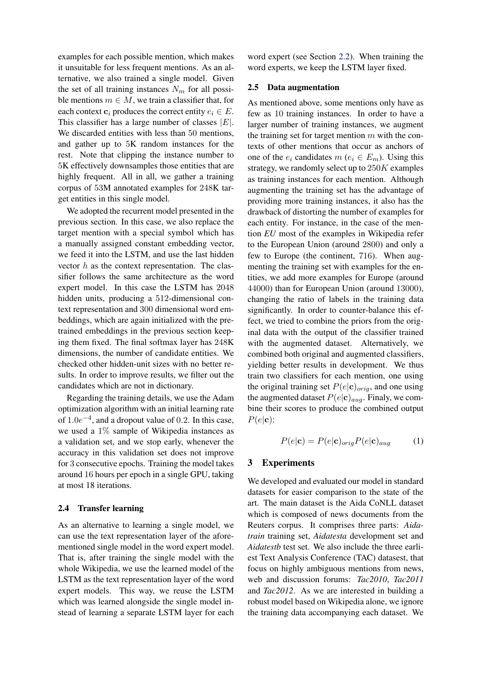examples for each possible mention, which makes it unsuitable for less frequent mentions. As an alternative, we also trained a single model. Given the set of all training instances  $N_m$  for all possible mentions  $m \in M$ , we train a classifier that, for each context  $c_i$  produces the correct entity  $e_i \in E$ . This classifier has a large number of classes  $|E|$ . We discarded entities with less than 50 mentions, and gather up to 5K random instances for the rest. Note that clipping the instance number to 5K effectively downsamples those entities that are highly frequent. All in all, we gather a training corpus of 53M annotated examples for 248K target entities in this single model.

We adopted the recurrent model presented in the previous section. In this case, we also replace the target mention with a special symbol which has a manually assigned constant embedding vector, we feed it into the LSTM, and use the last hidden vector  $h$  as the context representation. The classifier follows the same architecture as the word expert model. In this case the LSTM has 2048 hidden units, producing a 512-dimensional context representation and 300 dimensional word embeddings, which are again initialized with the pretrained embeddings in the previous section keeping them fixed. The final softmax layer has 248K dimensions, the number of candidate entities. We checked other hidden-unit sizes with no better results. In order to improve results, we filter out the candidates which are not in dictionary.

Regarding the training details, we use the Adam optimization algorithm with an initial learning rate of  $1.0e^{-4}$ , and a dropout value of 0.2. In this case, we used a 1% sample of Wikipedia instances as a validation set, and we stop early, whenever the accuracy in this validation set does not improve for 3 consecutive epochs. Training the model takes around 16 hours per epoch in a single GPU, taking at most 18 iterations.

## 2.4 Transfer learning

As an alternative to learning a single model, we can use the text representation layer of the aforementioned single model in the word expert model. That is, after training the single model with the whole Wikipedia, we use the learned model of the LSTM as the text representation layer of the word expert models. This way, we reuse the LSTM which was learned alongside the single model instead of learning a separate LSTM layer for each word expert (see Section [2.2\)](#page-1-2). When training the word experts, we keep the LSTM layer fixed.

#### <span id="page-3-1"></span>2.5 Data augmentation

As mentioned above, some mentions only have as few as 10 training instances. In order to have a larger number of training instances, we augment the training set for target mention  $m$  with the contexts of other mentions that occur as anchors of one of the  $e_i$  candidates  $m$  ( $e_i \in E_m$ ). Using this strategy, we randomly select up to  $250K$  examples as training instances for each mention. Although augmenting the training set has the advantage of providing more training instances, it also has the drawback of distorting the number of examples for each entity. For instance, in the case of the mention *EU* most of the examples in Wikipedia refer to the European Union (around 2800) and only a few to Europe (the continent, 716). When augmenting the training set with examples for the entities, we add more examples for Europe (around 44000) than for European Union (around 13000), changing the ratio of labels in the training data significantly. In order to counter-balance this effect, we tried to combine the priors from the original data with the output of the classifier trained with the augmented dataset. Alternatively, we combined both original and augmented classifiers, yielding better results in development. We thus train two classifiers for each mention, one using the original training set  $P(e|c)_{orig}$ , and one using the augmented dataset  $P(e|c)_{aug}$ . Finaly, we combine their scores to produce the combined output  $P(e|\mathbf{c})$ :

$$
P(e|\mathbf{c}) = P(e|\mathbf{c})_{orig} P(e|\mathbf{c})_{aug} \tag{1}
$$

## <span id="page-3-0"></span>3 Experiments

We developed and evaluated our model in standard datasets for easier comparison to the state of the art. The main dataset is the Aida CoNLL dataset which is composed of news documents from the Reuters corpus. It comprises three parts: *Aidatrain* training set, *Aidatesta* development set and *Aidatestb* test set. We also include the three earliest Text Analysis Conference (TAC) datasest, that focus on highly ambiguous mentions from news, web and discussion forums: *Tac2010*, *Tac2011* and *Tac2012*. As we are interested in building a robust model based on Wikipedia alone, we ignore the training data accompanying each dataset. We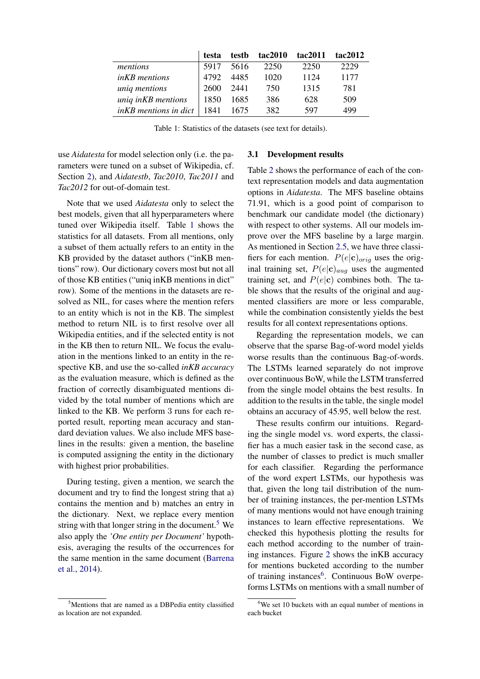|                       | testa | testb | tac2010 | tac2011 | tac2012 |
|-----------------------|-------|-------|---------|---------|---------|
| mentions              | 5917  | 5616  | 2250    | 2250    | 2229    |
| <i>inKB</i> mentions  | 4792  | 4485  | 1020    | 1124    | 1177    |
| uniq mentions         | 2600  | 2441  | 750     | 1315    | 781     |
| uniq inKB mentions    | 1850  | 1685  | 386     | 628     | 509     |
| inKB mentions in dict | 1841  | 1675  | 382     | 597     | 499     |

<span id="page-4-0"></span>Table 1: Statistics of the datasets (see text for details).

use *Aidatesta* for model selection only (i.e. the parameters were tuned on a subset of Wikipedia, cf. Section [2\)](#page-1-3), and *Aidatestb*, *Tac2010*, *Tac2011* and *Tac2012* for out-of-domain test.

Note that we used *Aidatesta* only to select the best models, given that all hyperparameters where tuned over Wikipedia itself. Table [1](#page-4-0) shows the statistics for all datasets. From all mentions, only a subset of them actually refers to an entity in the KB provided by the dataset authors ("inKB mentions" row). Our dictionary covers most but not all of those KB entities ("uniq inKB mentions in dict" row). Some of the mentions in the datasets are resolved as NIL, for cases where the mention refers to an entity which is not in the KB. The simplest method to return NIL is to first resolve over all Wikipedia entities, and if the selected entity is not in the KB then to return NIL. We focus the evaluation in the mentions linked to an entity in the respective KB, and use the so-called *inKB accuracy* as the evaluation measure, which is defined as the fraction of correctly disambiguated mentions divided by the total number of mentions which are linked to the KB. We perform 3 runs for each reported result, reporting mean accuracy and standard deviation values. We also include MFS baselines in the results: given a mention, the baseline is computed assigning the entity in the dictionary with highest prior probabilities.

During testing, given a mention, we search the document and try to find the longest string that a) contains the mention and b) matches an entry in the dictionary. Next, we replace every mention string with that longer string in the document.<sup>[5](#page-4-1)</sup> We also apply the *'One entity per Document'* hypothesis, averaging the results of the occurrences for the same mention in the same document [\(Barrena](#page-8-13) [et al.,](#page-8-13) [2014\)](#page-8-13).

## 3.1 Development results

Table [2](#page-5-0) shows the performance of each of the context representation models and data augmentation options in *Aidatesta*. The MFS baseline obtains 71.91, which is a good point of comparison to benchmark our candidate model (the dictionary) with respect to other systems. All our models improve over the MFS baseline by a large margin. As mentioned in Section [2.5,](#page-3-1) we have three classifiers for each mention.  $P(e|c)_{orig}$  uses the original training set,  $P(e|c)_{aug}$  uses the augmented training set, and  $P(e|\mathbf{c})$  combines both. The table shows that the results of the original and augmented classifiers are more or less comparable, while the combination consistently yields the best results for all context representations options.

Regarding the representation models, we can observe that the sparse Bag-of-word model yields worse results than the continuous Bag-of-words. The LSTMs learned separately do not improve over continuous BoW, while the LSTM transferred from the single model obtains the best results. In addition to the results in the table, the single model obtains an accuracy of 45.95, well below the rest.

These results confirm our intuitions. Regarding the single model vs. word experts, the classifier has a much easier task in the second case, as the number of classes to predict is much smaller for each classifier. Regarding the performance of the word expert LSTMs, our hypothesis was that, given the long tail distribution of the number of training instances, the per-mention LSTMs of many mentions would not have enough training instances to learn effective representations. We checked this hypothesis plotting the results for each method according to the number of training instances. Figure [2](#page-5-1) shows the inKB accuracy for mentions bucketed according to the number of training instances<sup>[6](#page-4-2)</sup>. Continuous BoW overpeforms LSTMs on mentions with a small number of

<span id="page-4-1"></span><sup>&</sup>lt;sup>5</sup>Mentions that are named as a DBPedia entity classified as location are not expanded.

<span id="page-4-2"></span> $6$ We set 10 buckets with an equal number of mentions in each bucket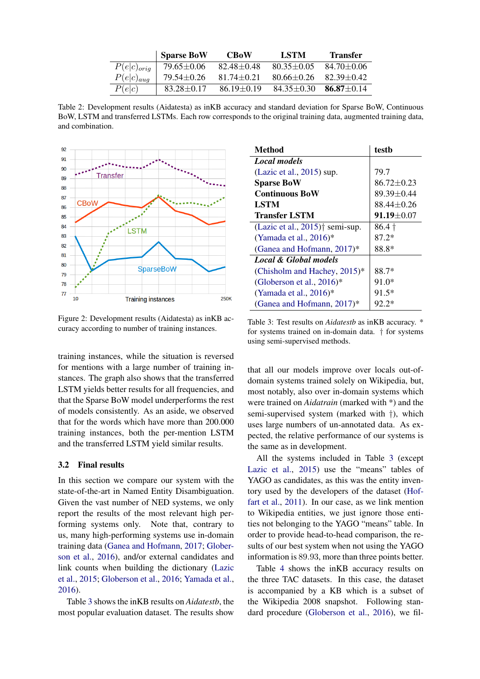|                 | <b>Sparse BoW</b> | <b>CBoW</b>      | LSTM             | Transfer       |
|-----------------|-------------------|------------------|------------------|----------------|
| $P(e c)_{orig}$ | 79.65±0.06        | $82.48 + 0.48$   | $80.35 \pm 0.05$ | $84.70 + 0.06$ |
| $P(e c)_{aug}$  | $79.54 \pm 0.26$  | $81.74 + 0.21$   | $80.66 + 0.26$   | $82.39 + 0.42$ |
| P(e c)          | $83.28 \pm 0.17$  | $86.19 \pm 0.19$ | $84.35 \pm 0.30$ | $86.87 + 0.14$ |

<span id="page-5-0"></span>Table 2: Development results (Aidatesta) as inKB accuracy and standard deviation for Sparse BoW, Continuous BoW, LSTM and transferred LSTMs. Each row corresponds to the original training data, augmented training data, and combination.



<span id="page-5-1"></span>Figure 2: Development results (Aidatesta) as inKB accuracy according to number of training instances.

training instances, while the situation is reversed for mentions with a large number of training instances. The graph also shows that the transferred LSTM yields better results for all frequencies, and that the Sparse BoW model underperforms the rest of models consistently. As an aside, we observed that for the words which have more than 200.000 training instances, both the per-mention LSTM and the transferred LSTM yield similar results.

#### <span id="page-5-3"></span>3.2 Final results

In this section we compare our system with the state-of-the-art in Named Entity Disambiguation. Given the vast number of NED systems, we only report the results of the most relevant high performing systems only. Note that, contrary to us, many high-performing systems use in-domain training data [\(Ganea and Hofmann,](#page-8-6) [2017;](#page-8-6) [Glober](#page-8-5)[son et al.,](#page-8-5) [2016\)](#page-8-5), and/or external candidates and link counts when building the dictionary [\(Lazic](#page-8-4) [et al.,](#page-8-4) [2015;](#page-8-4) [Globerson et al.,](#page-8-5) [2016;](#page-8-5) [Yamada et al.,](#page-9-2) [2016\)](#page-9-2).

Table [3](#page-5-2) shows the inKB results on *Aidatestb*, the most popular evaluation dataset. The results show

| Method                                                            | testb            |
|-------------------------------------------------------------------|------------------|
| <b>Local models</b>                                               |                  |
| (Lazic et al., $2015$ ) sup.                                      | 79.7             |
| <b>Sparse BoW</b>                                                 | $86.72 \pm 0.23$ |
| <b>Continuous BoW</b>                                             | 89.39±0.44       |
| <b>LSTM</b>                                                       | $88.44 \pm 0.26$ |
| <b>Transfer LSTM</b>                                              | $91.19 \pm 0.07$ |
| (Lazic et al., $2015$ ) <sup><math>\dagger</math></sup> semi-sup. | $86.4\dagger$    |
| (Yamada et al., $2016$ )*                                         | 87.2*            |
| (Ganea and Hofmann, 2017)*                                        | 88.8*            |
| <b>Local &amp; Global models</b>                                  |                  |
| (Chisholm and Hachey, 2015)*                                      | 88.7*            |
| (Globerson et al., $2016$ )*                                      | 91.0*            |
| (Yamada et al., $2016$ )*                                         | 91.5*            |
| (Ganea and Hofmann, $2017$ )*                                     | $92.2*$          |

<span id="page-5-2"></span>Table 3: Test results on *Aidatestb* as inKB accuracy. \* for systems trained on in-domain data. † for systems using semi-supervised methods.

that all our models improve over locals out-ofdomain systems trained solely on Wikipedia, but, most notably, also over in-domain systems which were trained on *Aidatrain* (marked with \*) and the semi-supervised system (marked with †), which uses large numbers of un-annotated data. As expected, the relative performance of our systems is the same as in development.

All the systems included in Table [3](#page-5-2) (except [Lazic et al.,](#page-8-4) [2015\)](#page-8-4) use the "means" tables of YAGO as candidates, as this was the entity inventory used by the developers of the dataset [\(Hof](#page-8-1)[fart et al.,](#page-8-1) [2011\)](#page-8-1). In our case, as we link mention to Wikipedia entities, we just ignore those entities not belonging to the YAGO "means" table. In order to provide head-to-head comparison, the results of our best system when not using the YAGO information is 89.93, more than three points better.

Table [4](#page-6-0) shows the inKB accuracy results on the three TAC datasets. In this case, the dataset is accompanied by a KB which is a subset of the Wikipedia 2008 snapshot. Following standard procedure [\(Globerson et al.,](#page-8-5) [2016\)](#page-8-5), we fil-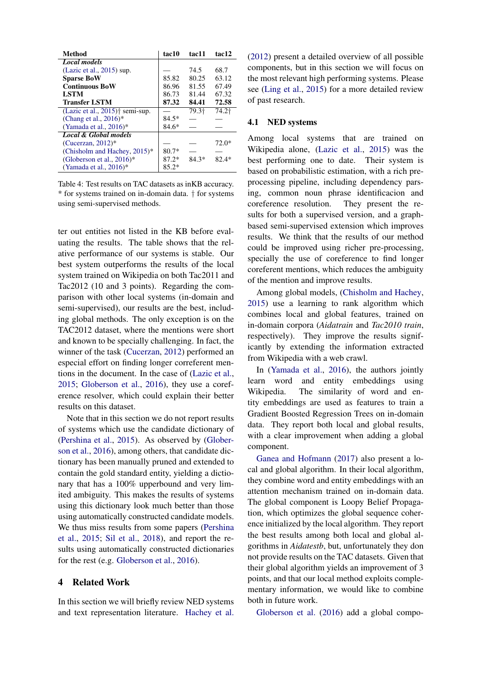| Method                                         | tac10   | tac11             | tac12   |
|------------------------------------------------|---------|-------------------|---------|
| <b>Local models</b>                            |         |                   |         |
| (Lazic et al., $2015$ ) sup.                   |         | 74.5              | 68.7    |
| <b>Sparse BoW</b>                              | 85.82   | 80.25             | 63.12   |
| <b>Continuous BoW</b>                          | 86.96   | 81.55             | 67.49   |
| <b>LSTM</b>                                    | 86.73   | 81.44             | 67.32   |
| <b>Transfer LSTM</b>                           | 87.32   | 84.41             | 72.58   |
| (Lazic et al., $2015$ ) <sup>†</sup> semi-sup. |         | 79.3 <sup>+</sup> | 74.2†   |
| (Chang et al., $2016$ )*                       | $84.5*$ |                   |         |
| (Yamada et al., $2016$ )*                      | $84.6*$ |                   |         |
| <b>Local &amp; Global models</b>               |         |                   |         |
| (Cucerzan, $2012$ )*                           |         |                   | $72.0*$ |
| (Chisholm and Hachey, $2015$ )*                | $80.7*$ |                   |         |
| (Globerson et al., $2016$ )*                   | $87.2*$ | $84.3*$           | $82.4*$ |
| (Yamada et al., $2016$ )*                      | $85.2*$ |                   |         |

<span id="page-6-0"></span>Table 4: Test results on TAC datasets as inKB accuracy. \* for systems trained on in-domain data. † for systems using semi-supervised methods.

ter out entities not listed in the KB before evaluating the results. The table shows that the relative performance of our systems is stable. Our best system outperforms the results of the local system trained on Wikipedia on both Tac2011 and Tac2012 (10 and 3 points). Regarding the comparison with other local systems (in-domain and semi-supervised), our results are the best, including global methods. The only exception is on the TAC2012 dataset, where the mentions were short and known to be specially challenging. In fact, the winner of the task [\(Cucerzan,](#page-8-7) [2012\)](#page-8-7) performed an especial effort on finding longer correferent mentions in the document. In the case of [\(Lazic et al.,](#page-8-4) [2015;](#page-8-4) [Globerson et al.,](#page-8-5) [2016\)](#page-8-5), they use a coreference resolver, which could explain their better results on this dataset.

Note that in this section we do not report results of systems which use the candidate dictionary of [\(Pershina et al.,](#page-9-10) [2015\)](#page-9-10). As observed by [\(Glober](#page-8-5)[son et al.,](#page-8-5) [2016\)](#page-8-5), among others, that candidate dictionary has been manually pruned and extended to contain the gold standard entity, yielding a dictionary that has a 100% upperbound and very limited ambiguity. This makes the results of systems using this dictionary look much better than those using automatically constructed candidate models. We thus miss results from some papers [\(Pershina](#page-9-10) [et al.,](#page-9-10) [2015;](#page-9-10) [Sil et al.,](#page-9-3) [2018\)](#page-9-3), and report the results using automatically constructed dictionaries for the rest (e.g. [Globerson et al.,](#page-8-5) [2016\)](#page-8-5).

# 4 Related Work

In this section we will briefly review NED systems and text representation literature. [Hachey et al.](#page-8-15) [\(2012\)](#page-8-15) present a detailed overview of all possible components, but in this section we will focus on the most relevant high performing systems. Please see [\(Ling et al.,](#page-9-11) [2015\)](#page-9-11) for a more detailed review of past research.

# 4.1 NED systems

Among local systems that are trained on Wikipedia alone, [\(Lazic et al.,](#page-8-4) [2015\)](#page-8-4) was the best performing one to date. Their system is based on probabilistic estimation, with a rich preprocessing pipeline, including dependency parsing, common noun phrase identificacion and coreference resolution. They present the results for both a supervised version, and a graphbased semi-supervised extension which improves results. We think that the results of our method could be improved using richer pre-processing, specially the use of coreference to find longer coreferent mentions, which reduces the ambiguity of the mention and improve results.

Among global models, [\(Chisholm and Hachey,](#page-8-8) [2015\)](#page-8-8) use a learning to rank algorithm which combines local and global features, trained on in-domain corpora (*Aidatrain* and *Tac2010 train*, respectively). They improve the results significantly by extending the information extracted from Wikipedia with a web crawl.

In [\(Yamada et al.,](#page-9-2) [2016\)](#page-9-2), the authors jointly learn word and entity embeddings using Wikipedia. The similarity of word and entity embeddings are used as features to train a Gradient Boosted Regression Trees on in-domain data. They report both local and global results, with a clear improvement when adding a global component.

[Ganea and Hofmann](#page-8-6) [\(2017\)](#page-8-6) also present a local and global algorithm. In their local algorithm, they combine word and entity embeddings with an attention mechanism trained on in-domain data. The global component is Loopy Belief Propagation, which optimizes the global sequence coherence initialized by the local algorithm. They report the best results among both local and global algorithms in *Aidatestb*, but, unfortunately they don not provide results on the TAC datasets. Given that their global algorithm yields an improvement of 3 points, and that our local method exploits complementary information, we would like to combine both in future work.

[Globerson et al.](#page-8-5) [\(2016\)](#page-8-5) add a global compo-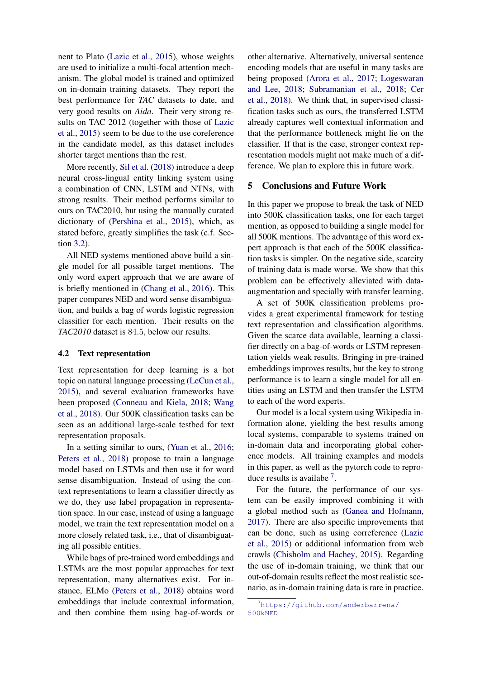nent to Plato [\(Lazic et al.,](#page-8-4) [2015\)](#page-8-4), whose weights are used to initialize a multi-focal attention mechanism. The global model is trained and optimized on in-domain training datasets. They report the best performance for *TAC* datasets to date, and very good results on *Aida*. Their very strong results on TAC 2012 (together with those of [Lazic](#page-8-4) [et al.,](#page-8-4) [2015\)](#page-8-4) seem to be due to the use coreference in the candidate model, as this dataset includes shorter target mentions than the rest.

More recently, [Sil et al.](#page-9-3) [\(2018\)](#page-9-3) introduce a deep neural cross-lingual entity linking system using a combination of CNN, LSTM and NTNs, with strong results. Their method performs similar to ours on TAC2010, but using the manually curated dictionary of [\(Pershina et al.,](#page-9-10) [2015\)](#page-9-10), which, as stated before, greatly simplifies the task (c.f. Section [3.2\)](#page-5-3).

All NED systems mentioned above build a single model for all possible target mentions. The only word expert approach that we are aware of is briefly mentioned in [\(Chang et al.,](#page-8-14) [2016\)](#page-8-14). This paper compares NED and word sense disambiguation, and builds a bag of words logistic regression classifier for each mention. Their results on the *TAC2010* dataset is 84.5, below our results.

#### 4.2 Text representation

Text representation for deep learning is a hot topic on natural language processing [\(LeCun et al.,](#page-9-4) [2015\)](#page-9-4), and several evaluation frameworks have been proposed [\(Conneau and Kiela,](#page-8-9) [2018;](#page-8-9) [Wang](#page-9-6) [et al.,](#page-9-6) [2018\)](#page-9-6). Our 500K classification tasks can be seen as an additional large-scale testbed for text representation proposals.

In a setting similar to ours, [\(Yuan et al.,](#page-9-12) [2016;](#page-9-12) [Peters et al.,](#page-9-5) [2018\)](#page-9-5) propose to train a language model based on LSTMs and then use it for word sense disambiguation. Instead of using the context representations to learn a classifier directly as we do, they use label propagation in representation space. In our case, instead of using a language model, we train the text representation model on a more closely related task, i.e., that of disambiguating all possible entities.

While bags of pre-trained word embeddings and LSTMs are the most popular approaches for text representation, many alternatives exist. For instance, ELMo [\(Peters et al.,](#page-9-5) [2018\)](#page-9-5) obtains word embeddings that include contextual information, and then combine them using bag-of-words or

other alternative. Alternatively, universal sentence encoding models that are useful in many tasks are being proposed [\(Arora et al.,](#page-8-16) [2017;](#page-8-16) [Logeswaran](#page-9-13) [and Lee,](#page-9-13) [2018;](#page-9-13) [Subramanian et al.,](#page-9-14) [2018;](#page-9-14) [Cer](#page-8-17) [et al.,](#page-8-17) [2018\)](#page-8-17). We think that, in supervised classification tasks such as ours, the transferred LSTM already captures well contextual information and that the performance bottleneck might lie on the classifier. If that is the case, stronger context representation models might not make much of a difference. We plan to explore this in future work.

#### 5 Conclusions and Future Work

In this paper we propose to break the task of NED into 500K classification tasks, one for each target mention, as opposed to building a single model for all 500K mentions. The advantage of this word expert approach is that each of the 500K classification tasks is simpler. On the negative side, scarcity of training data is made worse. We show that this problem can be effectively alleviated with dataaugmentation and specially with transfer learning.

A set of 500K classification problems provides a great experimental framework for testing text representation and classification algorithms. Given the scarce data available, learning a classifier directly on a bag-of-words or LSTM representation yields weak results. Bringing in pre-trained embeddings improves results, but the key to strong performance is to learn a single model for all entities using an LSTM and then transfer the LSTM to each of the word experts.

Our model is a local system using Wikipedia information alone, yielding the best results among local systems, comparable to systems trained on in-domain data and incorporating global coherence models. All training examples and models in this paper, as well as the pytorch code to repro-duce results is availabe<sup>[7](#page-7-0)</sup>.

For the future, the performance of our system can be easily improved combining it with a global method such as [\(Ganea and Hofmann,](#page-8-6) [2017\)](#page-8-6). There are also specific improvements that can be done, such as using correference [\(Lazic](#page-8-4) [et al.,](#page-8-4) [2015\)](#page-8-4) or additional information from web crawls [\(Chisholm and Hachey,](#page-8-8) [2015\)](#page-8-8). Regarding the use of in-domain training, we think that our out-of-domain results reflect the most realistic scenario, as in-domain training data is rare in practice.

<span id="page-7-0"></span><sup>7</sup>[https://github.com/anderbarrena/](https://github.com/anderbarrena/500kNED) [500kNED](https://github.com/anderbarrena/500kNED)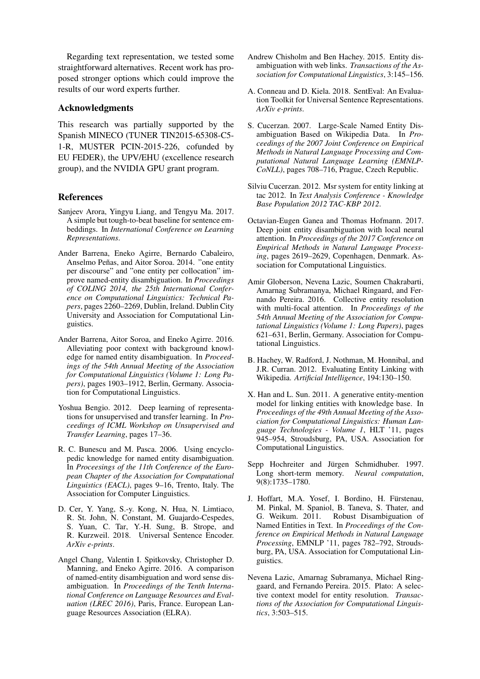Regarding text representation, we tested some straightforward alternatives. Recent work has proposed stronger options which could improve the results of our word experts further.

## Acknowledgments

This research was partially supported by the Spanish MINECO (TUNER TIN2015-65308-C5- 1-R, MUSTER PCIN-2015-226, cofunded by EU FEDER), the UPV/EHU (excellence research group), and the NVIDIA GPU grant program.

## References

- <span id="page-8-16"></span>Sanjeev Arora, Yingyu Liang, and Tengyu Ma. 2017. A simple but tough-to-beat baseline for sentence embeddings. In *International Conference on Learning Representations*.
- <span id="page-8-13"></span>Ander Barrena, Eneko Agirre, Bernardo Cabaleiro, Anselmo Peñas, and Aitor Soroa. 2014. "one entity per discourse" and "one entity per collocation" improve named-entity disambiguation. In *Proceedings of COLING 2014, the 25th International Conference on Computational Linguistics: Technical Papers*, pages 2260–2269, Dublin, Ireland. Dublin City University and Association for Computational Linguistics.
- <span id="page-8-11"></span>Ander Barrena, Aitor Soroa, and Eneko Agirre. 2016. Alleviating poor context with background knowledge for named entity disambiguation. In *Proceedings of the 54th Annual Meeting of the Association for Computational Linguistics (Volume 1: Long Papers)*, pages 1903–1912, Berlin, Germany. Association for Computational Linguistics.
- <span id="page-8-10"></span>Yoshua Bengio. 2012. Deep learning of representations for unsupervised and transfer learning. In *Proceedings of ICML Workshop on Unsupervised and Transfer Learning*, pages 17–36.
- <span id="page-8-0"></span>R. C. Bunescu and M. Pasca. 2006. Using encyclopedic knowledge for named entity disambiguation. In *Proceesings of the 11th Conference of the European Chapter of the Association for Computational Linguistics (EACL)*, pages 9–16, Trento, Italy. The Association for Computer Linguistics.
- <span id="page-8-17"></span>D. Cer, Y. Yang, S.-y. Kong, N. Hua, N. Limtiaco, R. St. John, N. Constant, M. Guajardo-Cespedes, S. Yuan, C. Tar, Y.-H. Sung, B. Strope, and R. Kurzweil. 2018. Universal Sentence Encoder. *ArXiv e-prints*.
- <span id="page-8-14"></span>Angel Chang, Valentin I. Spitkovsky, Christopher D. Manning, and Eneko Agirre. 2016. A comparison of named-entity disambiguation and word sense disambiguation. In *Proceedings of the Tenth International Conference on Language Resources and Evaluation (LREC 2016)*, Paris, France. European Language Resources Association (ELRA).
- <span id="page-8-8"></span>Andrew Chisholm and Ben Hachey. 2015. Entity disambiguation with web links. *Transactions of the Association for Computational Linguistics*, 3:145–156.
- <span id="page-8-9"></span>A. Conneau and D. Kiela. 2018. SentEval: An Evaluation Toolkit for Universal Sentence Representations. *ArXiv e-prints*.
- <span id="page-8-2"></span>S. Cucerzan. 2007. Large-Scale Named Entity Disambiguation Based on Wikipedia Data. In *Proceedings of the 2007 Joint Conference on Empirical Methods in Natural Language Processing and Computational Natural Language Learning (EMNLP-CoNLL)*, pages 708–716, Prague, Czech Republic.
- <span id="page-8-7"></span>Silviu Cucerzan. 2012. Msr system for entity linking at tac 2012. In *Text Analysis Conference - Knowledge Base Population 2012 TAC-KBP 2012*.
- <span id="page-8-6"></span>Octavian-Eugen Ganea and Thomas Hofmann. 2017. Deep joint entity disambiguation with local neural attention. In *Proceedings of the 2017 Conference on Empirical Methods in Natural Language Processing*, pages 2619–2629, Copenhagen, Denmark. Association for Computational Linguistics.
- <span id="page-8-5"></span>Amir Globerson, Nevena Lazic, Soumen Chakrabarti, Amarnag Subramanya, Michael Ringaard, and Fernando Pereira. 2016. Collective entity resolution with multi-focal attention. In *Proceedings of the 54th Annual Meeting of the Association for Computational Linguistics (Volume 1: Long Papers)*, pages 621–631, Berlin, Germany. Association for Computational Linguistics.
- <span id="page-8-15"></span>B. Hachey, W. Radford, J. Nothman, M. Honnibal, and J.R. Curran. 2012. Evaluating Entity Linking with Wikipedia. *Artificial Intelligence*, 194:130–150.
- <span id="page-8-3"></span>X. Han and L. Sun. 2011. A generative entity-mention model for linking entities with knowledge base. In *Proceedings of the 49th Annual Meeting of the Association for Computational Linguistics: Human Language Technologies - Volume 1*, HLT '11, pages 945–954, Stroudsburg, PA, USA. Association for Computational Linguistics.
- <span id="page-8-12"></span>Sepp Hochreiter and Jürgen Schmidhuber. 1997. Long short-term memory. *Neural computation*, 9(8):1735–1780.
- <span id="page-8-1"></span>J. Hoffart, M.A. Yosef, I. Bordino, H. Fürstenau, M. Pinkal, M. Spaniol, B. Taneva, S. Thater, and Robust Disambiguation of Named Entities in Text. In *Proceedings of the Conference on Empirical Methods in Natural Language Processing*, EMNLP '11, pages 782–792, Stroudsburg, PA, USA. Association for Computational Linguistics.
- <span id="page-8-4"></span>Nevena Lazic, Amarnag Subramanya, Michael Ringgaard, and Fernando Pereira. 2015. Plato: A selective context model for entity resolution. *Transactions of the Association for Computational Linguistics*, 3:503–515.